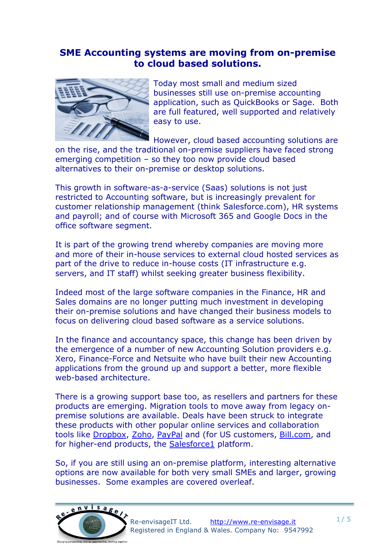## **SME Accounting systems are moving from on-premise to cloud based solutions.**



Today most small and medium sized businesses still use on-premise accounting application, such as QuickBooks or Sage. Both are full featured, well supported and relatively easy to use.

However, cloud based accounting solutions are on the rise, and the traditional on-premise suppliers have faced strong emerging competition – so they too now provide cloud based alternatives to their on-premise or desktop solutions.

This growth in software-as-a-service (Saas) solutions is not just restricted to Accounting software, but is increasingly prevalent for customer relationship management (think Salesforce.com), HR systems and payroll; and of course with Microsoft 365 and Google Docs in the office software segment.

It is part of the growing trend whereby companies are moving more and more of their in-house services to external cloud hosted services as part of the drive to reduce in-house costs (IT infrastructure e.g. servers, and IT staff) whilst seeking greater business flexibility.

Indeed most of the large software companies in the Finance, HR and Sales domains are no longer putting much investment in developing their on-premise solutions and have changed their business models to focus on delivering cloud based software as a service solutions.

In the finance and accountancy space, this change has been driven by the emergence of a number of new Accounting Solution providers e.g. Xero, Finance-Force and Netsuite who have built their new Accounting applications from the ground up and support a better, more flexible web-based architecture.

There is a growing support base too, as resellers and partners for these products are emerging. Migration tools to move away from legacy onpremise solutions are available. Deals have been struck to integrate these products with other popular online services and collaboration tools like [Dropbox,](https://www.dropbox.com/business) [Zoho,](http://www.zoho.com/) [PayPal](http://www.paypal.com/) and (for US customers, [Bill.com,](http://www.bill.com/) and for higher-end products, the **Salesforce1** platform.

So, if you are still using an on-premise platform, interesting alternative options are now available for both very small SMEs and larger, growing businesses. Some examples are covered overleaf.

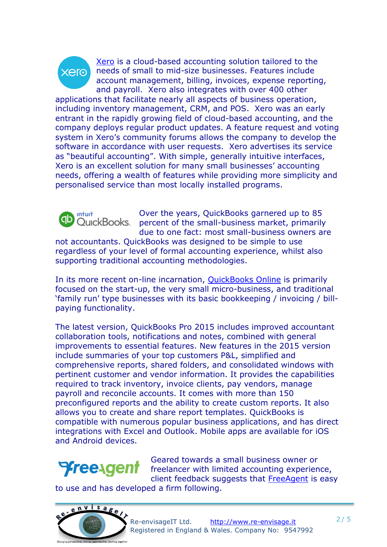

[Xero](https://www.xero.com/uk/) is a cloud-based accounting solution tailored to the needs of small to mid-size businesses. Features include account management, billing, invoices, expense reporting, and payroll. Xero also integrates with over 400 other

applications that facilitate nearly all aspects of business operation, including inventory management, CRM, and POS. Xero was an early entrant in the rapidly growing field of cloud-based accounting, and the company deploys regular product updates. A [feature request](http://www.anrdoezrs.net/links/7810127/type/dlg/https:/community.xero.com/business/topic/23/) and voting system in Xero's community forums allows the company to develop the software in accordance with user requests. Xero advertises its service as "beautiful accounting". With simple, generally intuitive interfaces, Xero is an excellent solution for many small businesses' accounting needs, offering a wealth of features while providing more simplicity and personalised service than most locally installed programs.



Over the years, QuickBooks garnered up to 85 percent of the small-business market, primarily due to one fact: most small-business owners are

not accountants. QuickBooks was designed to be simple to use regardless of your level of formal accounting experience, whilst also supporting traditional accounting methodologies.

In its more recent on-line incarnation, [QuickBooks Online](http://www.intuit.co.uk/oa/quickbooks-accounting-software) is primarily focused on the start-up, the very small micro-business, and traditional 'family run' type businesses with its basic bookkeeping / invoicing / billpaying functionality.

The latest version, QuickBooks Pro 2015 includes improved accountant collaboration tools, notifications and notes, combined with general improvements to essential features. New features in the 2015 version include summaries of your top customers P&L, simplified and comprehensive reports, shared folders, and consolidated windows with pertinent customer and vendor information. It provides the capabilities required to track inventory, invoice clients, pay vendors, manage payroll and reconcile accounts. It comes with more than 150 preconfigured reports and the ability to create custom reports. It also allows you to create and share report templates. QuickBooks is compatible with numerous popular business applications, and has direct integrations with Excel and Outlook. Mobile apps are available for iOS and Android devices.



Geared towards a small business owner or freelancer with limited accounting experience, client feedback suggests that [FreeAgent](http://www.freeagent.com/) is easy

to use and has developed a firm following.

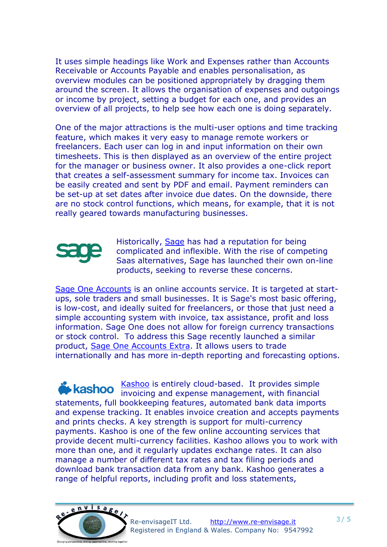It uses simple headings like Work and Expenses rather than Accounts Receivable or Accounts Payable and enables personalisation, as overview modules can be positioned appropriately by dragging them around the screen. It allows the organisation of expenses and outgoings or income by project, setting a budget for each one, and provides an overview of all projects, to help see how each one is doing separately.

One of the major attractions is the multi-user options and time tracking feature, which makes it very easy to manage remote workers or freelancers. Each user can log in and input information on their own timesheets. This is then displayed as an overview of the entire project for the manager or business owner. It also provides a one-click report that creates a self-assessment summary for income tax. Invoices can be easily created and sent by PDF and email. Payment reminders can be set-up at set dates after invoice due dates. On the downside, there are no stock control functions, which means, for example, that it is not really geared towards manufacturing businesses.



Historically, [Sage](http://www.sage.com/) has had a reputation for being complicated and inflexible. With the rise of competing Saas alternatives, Sage has launched their own on-line products, seeking to reverse these concerns.

[Sage One Accounts](http://uk.sageone.com/) is an online accounts service. It is targeted at startups, sole traders and small businesses. It is Sage's most basic offering, is low-cost, and ideally suited for freelancers, or those that just need a simple accounting system with invoice, tax assistance, profit and loss information. Sage One does not allow for foreign currency transactions or stock control. To address this Sage recently launched a similar product, [Sage One Accounts Extra.](http://uk.sageone.com/products/) It allows users to trade internationally and has more in-depth reporting and forecasting options.

[Kashoo](https://www.kashoo.com/) is entirely cloud-based. It provides simple invoicing and expense management, with financial [statements, full](https://www.kashoo.com) bookkeeping features, automated bank data imports and expense tracking. It enables invoice creation and accepts payments and prints checks. A key strength is support for multi-currency payments. Kashoo is one of the few online accounting services that provide decent multi-currency facilities. Kashoo allows you to work with more than one, and it regularly updates exchange rates. It can also manage a number of different tax rates and tax filing periods and download bank transaction data from any bank. Kashoo generates a range of helpful reports, including profit and loss statements,

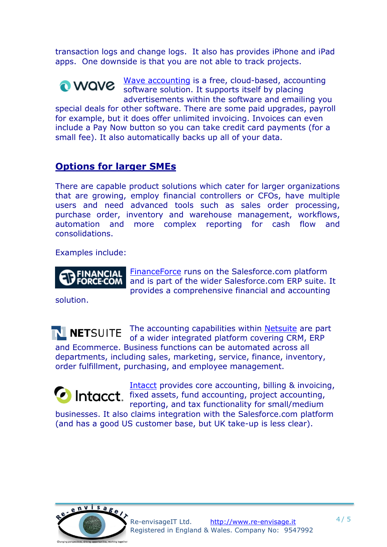transaction logs and change logs. It also has provides iPhone and iPad apps. One downside is that you are not able to track projects.

[Wave accounting](https://www.waveapps.com/) is a free, cloud-based, accounting **O** WAVE software solution. It supports itself by placing advertisements within the software and emailing you special deals for other software. There are some paid upgrades, payroll for example, but it does offer unlimited invoicing. Invoices can even include a Pay Now button so you can take credit card payments (for a small fee). It also automatically backs up all of your data.

## **Options for larger SMEs**

There are capable product solutions which cater for larger organizations that are growing, employ financial controllers or CFOs, have multiple users and need advanced tools such as sales order processing, purchase order, inventory and warehouse management, workflows, automation and more complex reporting for cash flow and consolidations.

Examples include:



[FinanceForce](http://www.financialforce.com/) runs on the Salesforce.com platform and is part of the wider Salesforce.com ERP suite. It provides a comprehensive financial and accounting

solution.

The accounting capabilities within [Netsuite](http://www.netsuite.com/) are part of a wider integrated platform covering CRM, ERP and Ecommerce. Business functions can be automated across all departments, including sales, marketing, service, finance, inventory, order fulfillment, purchasing, and employee management.

[Intacct](http://www.intacct.com/) provides core accounting, billing & invoicing, **C** Intacct. Fixed assets, fund accounting, project accounting, reporting, and tax functionality for small/medium

businesses. It also claims integration with the Salesforce.com platform (and has a good US customer base, but UK take-up is less clear).